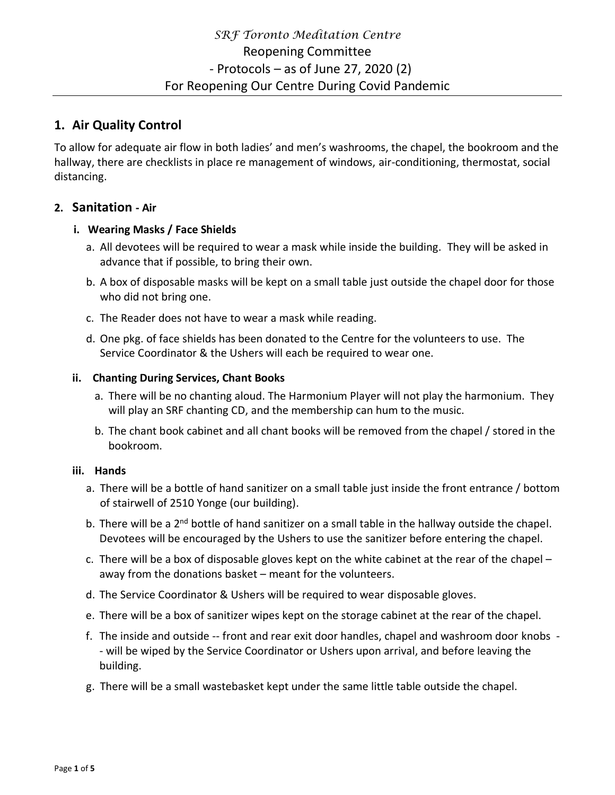## **1. Air Quality Control**

To allow for adequate air flow in both ladies' and men's washrooms, the chapel, the bookroom and the hallway, there are checklists in place re management of windows, air-conditioning, thermostat, social distancing.

### **2. Sanitation - Air**

### **i. Wearing Masks / Face Shields**

- a. All devotees will be required to wear a mask while inside the building. They will be asked in advance that if possible, to bring their own.
- b. A box of disposable masks will be kept on a small table just outside the chapel door for those who did not bring one.
- c. The Reader does not have to wear a mask while reading.
- d. One pkg. of face shields has been donated to the Centre for the volunteers to use. The Service Coordinator & the Ushers will each be required to wear one.

### **ii. Chanting During Services, Chant Books**

- a. There will be no chanting aloud. The Harmonium Player will not play the harmonium. They will play an SRF chanting CD, and the membership can hum to the music.
- b. The chant book cabinet and all chant books will be removed from the chapel / stored in the bookroom.

### **iii. Hands**

- a. There will be a bottle of hand sanitizer on a small table just inside the front entrance / bottom of stairwell of 2510 Yonge (our building).
- b. There will be a 2<sup>nd</sup> bottle of hand sanitizer on a small table in the hallway outside the chapel. Devotees will be encouraged by the Ushers to use the sanitizer before entering the chapel.
- c. There will be a box of disposable gloves kept on the white cabinet at the rear of the chapel away from the donations basket – meant for the volunteers.
- d. The Service Coordinator & Ushers will be required to wear disposable gloves.
- e. There will be a box of sanitizer wipes kept on the storage cabinet at the rear of the chapel.
- f. The inside and outside -- front and rear exit door handles, chapel and washroom door knobs - will be wiped by the Service Coordinator or Ushers upon arrival, and before leaving the building.
- g. There will be a small wastebasket kept under the same little table outside the chapel.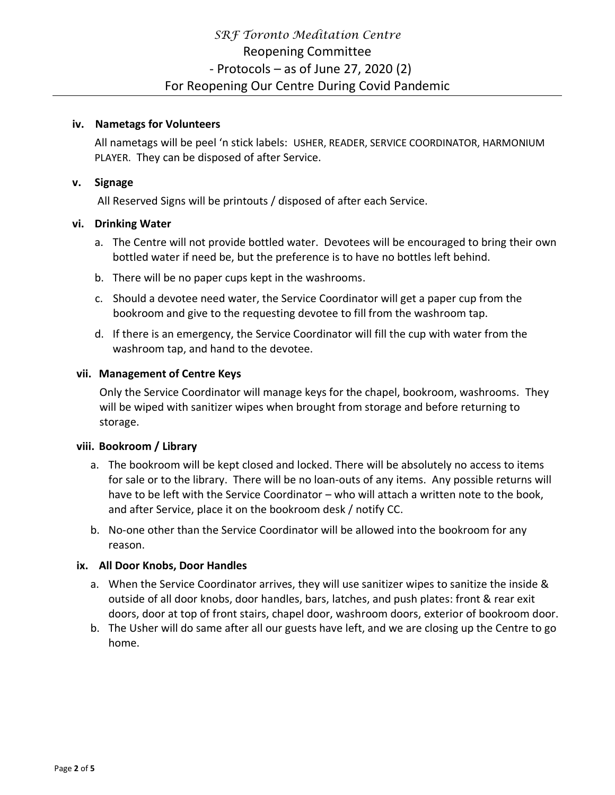#### **iv. Nametags for Volunteers**

All nametags will be peel 'n stick labels: USHER, READER, SERVICE COORDINATOR, HARMONIUM PLAYER. They can be disposed of after Service.

### **v. Signage**

All Reserved Signs will be printouts / disposed of after each Service.

### **vi. Drinking Water**

- a. The Centre will not provide bottled water. Devotees will be encouraged to bring their own bottled water if need be, but the preference is to have no bottles left behind.
- b. There will be no paper cups kept in the washrooms.
- c. Should a devotee need water, the Service Coordinator will get a paper cup from the bookroom and give to the requesting devotee to fill from the washroom tap.
- d. If there is an emergency, the Service Coordinator will fill the cup with water from the washroom tap, and hand to the devotee.

### **vii. Management of Centre Keys**

Only the Service Coordinator will manage keys for the chapel, bookroom, washrooms. They will be wiped with sanitizer wipes when brought from storage and before returning to storage.

### **viii. Bookroom / Library**

- a. The bookroom will be kept closed and locked. There will be absolutely no access to items for sale or to the library. There will be no loan-outs of any items. Any possible returns will have to be left with the Service Coordinator – who will attach a written note to the book, and after Service, place it on the bookroom desk / notify CC.
- b. No-one other than the Service Coordinator will be allowed into the bookroom for any reason.

### **ix. All Door Knobs, Door Handles**

- a. When the Service Coordinator arrives, they will use sanitizer wipes to sanitize the inside & outside of all door knobs, door handles, bars, latches, and push plates: front & rear exit doors, door at top of front stairs, chapel door, washroom doors, exterior of bookroom door.
- b. The Usher will do same after all our guests have left, and we are closing up the Centre to go home.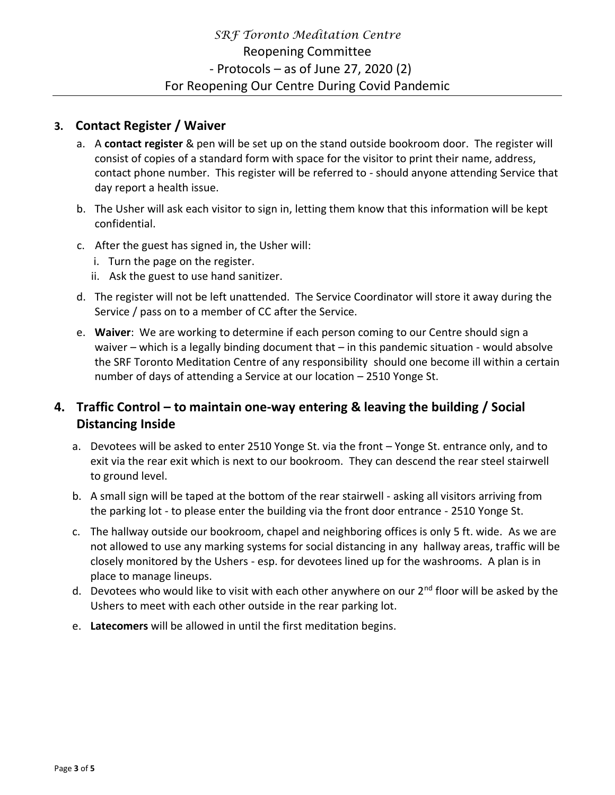## **3. Contact Register / Waiver**

- a. A **contact register** & pen will be set up on the stand outside bookroom door. The register will consist of copies of a standard form with space for the visitor to print their name, address, contact phone number. This register will be referred to - should anyone attending Service that day report a health issue.
- b. The Usher will ask each visitor to sign in, letting them know that this information will be kept confidential.
- c. After the guest has signed in, the Usher will:
	- i. Turn the page on the register.
	- ii. Ask the guest to use hand sanitizer.
- d. The register will not be left unattended. The Service Coordinator will store it away during the Service / pass on to a member of CC after the Service.
- e. **Waiver**: We are working to determine if each person coming to our Centre should sign a waiver – which is a legally binding document that – in this pandemic situation - would absolve the SRF Toronto Meditation Centre of any responsibility should one become ill within a certain number of days of attending a Service at our location – 2510 Yonge St.

## **4. Traffic Control – to maintain one-way entering & leaving the building / Social Distancing Inside**

- a. Devotees will be asked to enter 2510 Yonge St. via the front Yonge St. entrance only, and to exit via the rear exit which is next to our bookroom. They can descend the rear steel stairwell to ground level.
- b. A small sign will be taped at the bottom of the rear stairwell asking all visitors arriving from the parking lot - to please enter the building via the front door entrance - 2510 Yonge St.
- c. The hallway outside our bookroom, chapel and neighboring offices is only 5 ft. wide. As we are not allowed to use any marking systems for social distancing in any hallway areas, traffic will be closely monitored by the Ushers - esp. for devotees lined up for the washrooms. A plan is in place to manage lineups.
- d. Devotees who would like to visit with each other anywhere on our 2<sup>nd</sup> floor will be asked by the Ushers to meet with each other outside in the rear parking lot.
- e. **Latecomers** will be allowed in until the first meditation begins.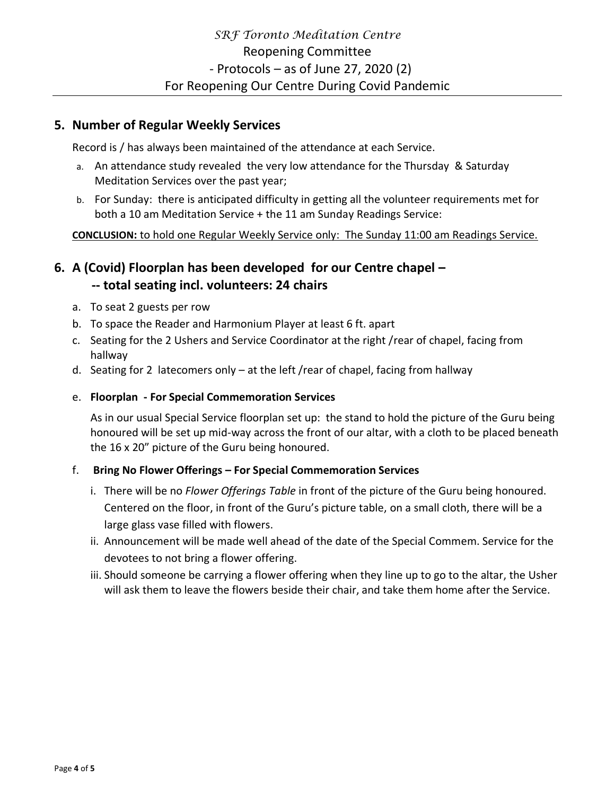### **5. Number of Regular Weekly Services**

Record is / has always been maintained of the attendance at each Service.

- a. An attendance study revealed the very low attendance for the Thursday & Saturday Meditation Services over the past year;
- b. For Sunday: there is anticipated difficulty in getting all the volunteer requirements met for both a 10 am Meditation Service + the 11 am Sunday Readings Service:

**CONCLUSION:** to hold one Regular Weekly Service only: The Sunday 11:00 am Readings Service.

# **6. A (Covid) Floorplan has been developed for our Centre chapel – -- total seating incl. volunteers: 24 chairs**

- a. To seat 2 guests per row
- b. To space the Reader and Harmonium Player at least 6 ft. apart
- c. Seating for the 2 Ushers and Service Coordinator at the right /rear of chapel, facing from hallway
- d. Seating for 2 latecomers only at the left /rear of chapel, facing from hallway
- e. **Floorplan - For Special Commemoration Services**

As in our usual Special Service floorplan set up: the stand to hold the picture of the Guru being honoured will be set up mid-way across the front of our altar, with a cloth to be placed beneath the 16 x 20" picture of the Guru being honoured.

### f. **Bring No Flower Offerings – For Special Commemoration Services**

- i. There will be no *Flower Offerings Table* in front of the picture of the Guru being honoured. Centered on the floor, in front of the Guru's picture table, on a small cloth, there will be a large glass vase filled with flowers.
- ii. Announcement will be made well ahead of the date of the Special Commem. Service for the devotees to not bring a flower offering.
- iii. Should someone be carrying a flower offering when they line up to go to the altar, the Usher will ask them to leave the flowers beside their chair, and take them home after the Service.